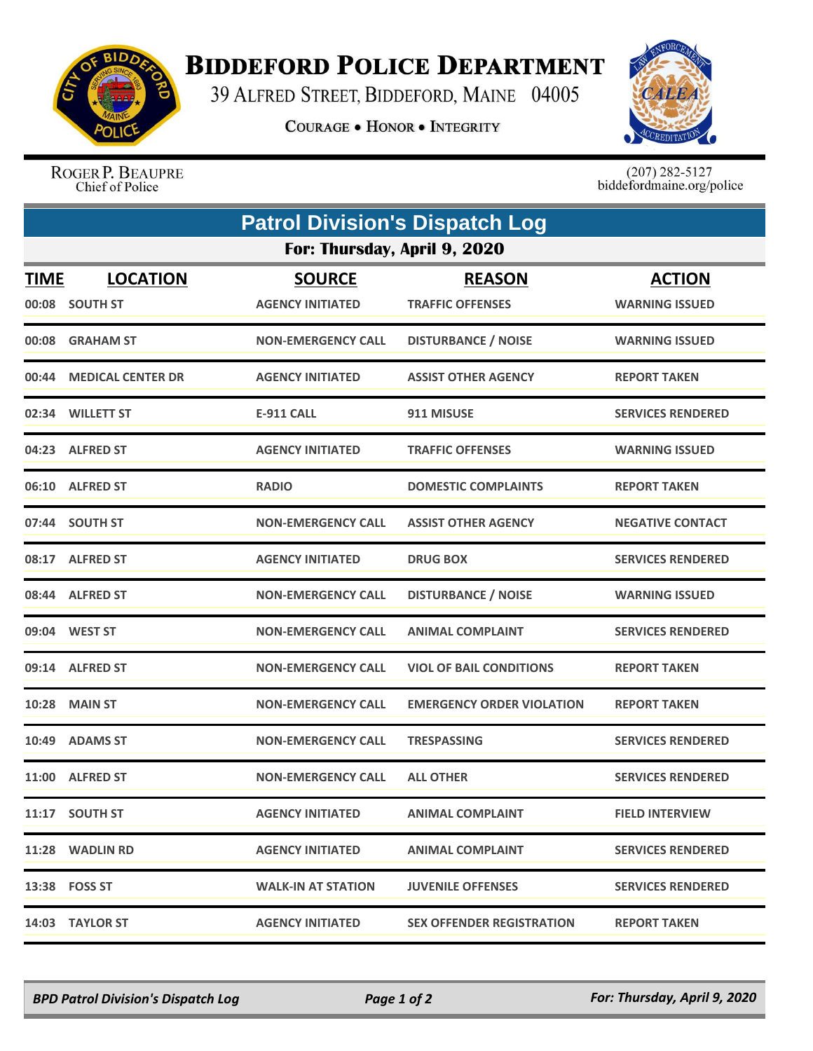

## **BIDDEFORD POLICE DEPARTMENT**

39 ALFRED STREET, BIDDEFORD, MAINE 04005

**COURAGE . HONOR . INTEGRITY** 



ROGER P. BEAUPRE Chief of Police

 $(207)$  282-5127<br>biddefordmaine.org/police

|                              | <b>Patrol Division's Dispatch Log</b> |                                          |                                          |                                        |  |  |  |
|------------------------------|---------------------------------------|------------------------------------------|------------------------------------------|----------------------------------------|--|--|--|
| For: Thursday, April 9, 2020 |                                       |                                          |                                          |                                        |  |  |  |
| <b>TIME</b>                  | <b>LOCATION</b><br>00:08 SOUTH ST     | <b>SOURCE</b><br><b>AGENCY INITIATED</b> | <b>REASON</b><br><b>TRAFFIC OFFENSES</b> | <b>ACTION</b><br><b>WARNING ISSUED</b> |  |  |  |
|                              | 00:08 GRAHAM ST                       | <b>NON-EMERGENCY CALL</b>                | <b>DISTURBANCE / NOISE</b>               | <b>WARNING ISSUED</b>                  |  |  |  |
| 00:44                        | <b>MEDICAL CENTER DR</b>              | <b>AGENCY INITIATED</b>                  | <b>ASSIST OTHER AGENCY</b>               | <b>REPORT TAKEN</b>                    |  |  |  |
|                              | 02:34 WILLETT ST                      | <b>E-911 CALL</b>                        | 911 MISUSE                               | <b>SERVICES RENDERED</b>               |  |  |  |
|                              | 04:23 ALFRED ST                       | <b>AGENCY INITIATED</b>                  | <b>TRAFFIC OFFENSES</b>                  | <b>WARNING ISSUED</b>                  |  |  |  |
|                              | 06:10 ALFRED ST                       | <b>RADIO</b>                             | <b>DOMESTIC COMPLAINTS</b>               | <b>REPORT TAKEN</b>                    |  |  |  |
|                              | 07:44 SOUTH ST                        | <b>NON-EMERGENCY CALL</b>                | <b>ASSIST OTHER AGENCY</b>               | <b>NEGATIVE CONTACT</b>                |  |  |  |
|                              | 08:17 ALFRED ST                       | <b>AGENCY INITIATED</b>                  | <b>DRUG BOX</b>                          | <b>SERVICES RENDERED</b>               |  |  |  |
|                              | 08:44 ALFRED ST                       | <b>NON-EMERGENCY CALL</b>                | <b>DISTURBANCE / NOISE</b>               | <b>WARNING ISSUED</b>                  |  |  |  |
|                              | 09:04 WEST ST                         | <b>NON-EMERGENCY CALL</b>                | <b>ANIMAL COMPLAINT</b>                  | <b>SERVICES RENDERED</b>               |  |  |  |
|                              | 09:14 ALFRED ST                       | <b>NON-EMERGENCY CALL</b>                | <b>VIOL OF BAIL CONDITIONS</b>           | <b>REPORT TAKEN</b>                    |  |  |  |
| 10:28                        | <b>MAIN ST</b>                        | <b>NON-EMERGENCY CALL</b>                | <b>EMERGENCY ORDER VIOLATION</b>         | <b>REPORT TAKEN</b>                    |  |  |  |
| 10:49                        | <b>ADAMS ST</b>                       | <b>NON-EMERGENCY CALL</b>                | <b>TRESPASSING</b>                       | <b>SERVICES RENDERED</b>               |  |  |  |
|                              | 11:00 ALFRED ST                       | <b>NON-EMERGENCY CALL</b>                | <b>ALL OTHER</b>                         | <b>SERVICES RENDERED</b>               |  |  |  |
|                              | 11:17 SOUTH ST                        | <b>AGENCY INITIATED</b>                  | <b>ANIMAL COMPLAINT</b>                  | <b>FIELD INTERVIEW</b>                 |  |  |  |
|                              | 11:28 WADLIN RD                       | <b>AGENCY INITIATED</b>                  | <b>ANIMAL COMPLAINT</b>                  | <b>SERVICES RENDERED</b>               |  |  |  |
|                              | 13:38 FOSS ST                         | <b>WALK-IN AT STATION</b>                | <b>JUVENILE OFFENSES</b>                 | <b>SERVICES RENDERED</b>               |  |  |  |
|                              | 14:03 TAYLOR ST                       | <b>AGENCY INITIATED</b>                  | <b>SEX OFFENDER REGISTRATION</b>         | <b>REPORT TAKEN</b>                    |  |  |  |